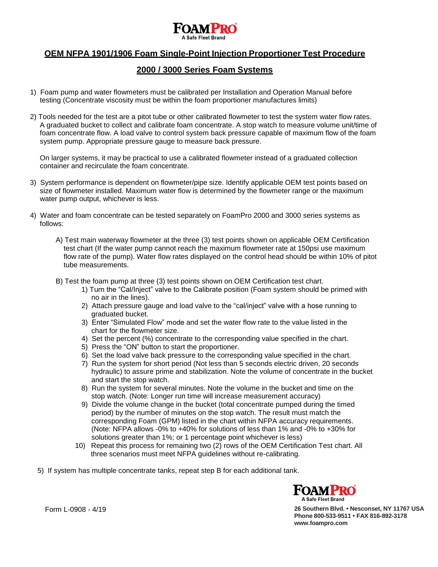

# **OEM NFPA 1901/1906 Foam Single-Point Injection Proportioner Test Procedure**

## **2000 / 3000 Series Foam Systems**

- 1) Foam pump and water flowmeters must be calibrated per Installation and Operation Manual before testing (Concentrate viscosity must be within the foam proportioner manufactures limits)
- 2) Tools needed for the test are a pitot tube or other calibrated flowmeter to test the system water flow rates. A graduated bucket to collect and calibrate foam concentrate. A stop watch to measure volume unit/time of foam concentrate flow. A load valve to control system back pressure capable of maximum flow of the foam system pump. Appropriate pressure gauge to measure back pressure.

On larger systems, it may be practical to use a calibrated flowmeter instead of a graduated collection container and recirculate the foam concentrate.

- 3) System performance is dependent on flowmeter/pipe size. Identify applicable OEM test points based on size of flowmeter installed. Maximum water flow is determined by the flowmeter range or the maximum water pump output, whichever is less.
- 4) Water and foam concentrate can be tested separately on FoamPro 2000 and 3000 series systems as follows:
	- A) Test main waterway flowmeter at the three (3) test points shown on applicable OEM Certification test chart (If the water pump cannot reach the maximum flowmeter rate at 150psi use maximum flow rate of the pump). Water flow rates displayed on the control head should be within 10% of pitot tube measurements.
	- B) Test the foam pump at three (3) test points shown on OEM Certification test chart.
		- 1) Turn the "Cal/Inject" valve to the Calibrate position (Foam system should be primed with no air in the lines).
		- 2) Attach pressure gauge and load valve to the "cal/inject" valve with a hose running to graduated bucket.
		- 3) Enter "Simulated Flow" mode and set the water flow rate to the value listed in the chart for the flowmeter size.
		- 4) Set the percent (%) concentrate to the corresponding value specified in the chart.
		- 5) Press the "ON" button to start the proportioner.
		- 6) Set the load valve back pressure to the corresponding value specified in the chart.
		- 7) Run the system for short period (Not less than 5 seconds electric driven, 20 seconds hydraulic) to assure prime and stabilization. Note the volume of concentrate in the bucket and start the stop watch.
		- 8) Run the system for several minutes. Note the volume in the bucket and time on the stop watch. (Note: Longer run time will increase measurement accuracy)
		- 9) Divide the volume change in the bucket (total concentrate pumped during the timed period) by the number of minutes on the stop watch. The result must match the corresponding Foam (GPM) listed in the chart within NFPA accuracy requirements. (Note: NFPA allows -0% to +40% for solutions of less than 1% and -0% to +30% for solutions greater than 1%; or 1 percentage point whichever is less)
		- 10) Repeat this process for remaining two (2) rows of the OEM Certification Test chart. All three scenarios must meet NFPA guidelines without re-calibrating.
	- 5) If system has multiple concentrate tanks, repeat step B for each additional tank.



Form L-0908 - 4/19 **26 Southern Blvd. • Nesconset, NY 11767 USA Phone 800-533-9511 • FAX 816-892-3178 [www.foampro.com](http://www.foampro.com/)**